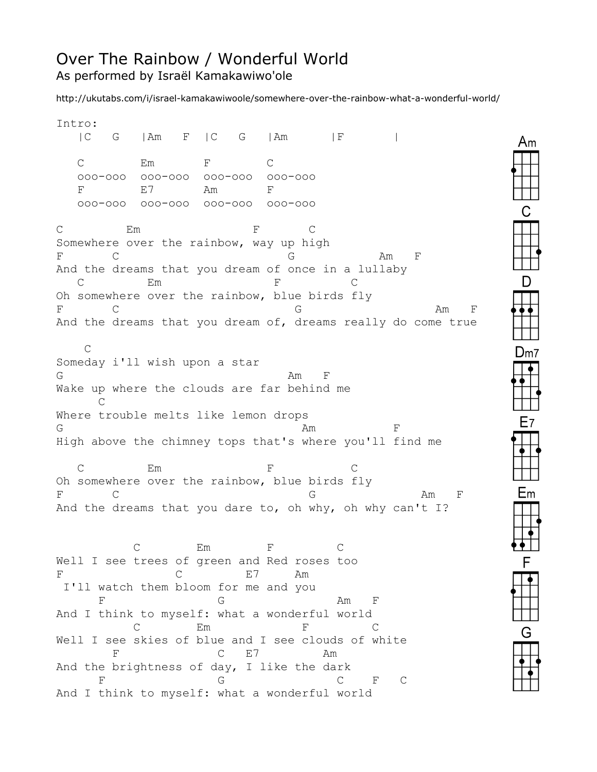## Over The Rainbow / Wonderful World As performed by Israël Kamakawiwo'ole

http://ukutabs.com/i/israel-kamakawiwoole/somewhere-over-the-rainbow-what-a-wonderful-world/

Intro: | C G | Am F | C G | Am | F | C Em F C ooo-ooo ooo-ooo ooo-ooo ooo-ooo F E7 Am F ooo-ooo ooo-ooo ooo-ooo ooo-ooo C Em F C Somewhere over the rainbow, way up high F C G Am F And the dreams that you dream of once in a lullaby C Em F C Oh somewhere over the rainbow, blue birds fly F C G Am F And the dreams that you dream of, dreams really do come true  $\cap$ Someday i'll wish upon a star  $G$  and  $F$  and  $F$  and  $F$  and  $F$ Wake up where the clouds are far behind me  $\cap$ Where trouble melts like lemon drops  $G$  and  $\mathbb{F}$  and  $\mathbb{F}$  and  $\mathbb{F}$  and  $\mathbb{F}$  and  $\mathbb{F}$  and  $\mathbb{F}$  and  $\mathbb{F}$  and  $\mathbb{F}$  and  $\mathbb{F}$  and  $\mathbb{F}$  and  $\mathbb{F}$  and  $\mathbb{F}$  and  $\mathbb{F}$  and  $\mathbb{F}$  and  $\mathbb{F}$  and  $\mathbb{F}$  and  $\mathbb{$ High above the chimney tops that's where you'll find me C Em F C Oh somewhere over the rainbow, blue birds fly F C G Am F And the dreams that you dare to, oh why, oh why can't I? C Em F C Well I see trees of green and Red roses too F C E7 Am I'll watch them bloom for me and you F G Am F And I think to myself: what a wonderful world C Em F C Well I see skies of blue and I see clouds of white F C E7 Am And the brightness of day, I like the dark F G G C F C And I think to myself: what a wonderful world